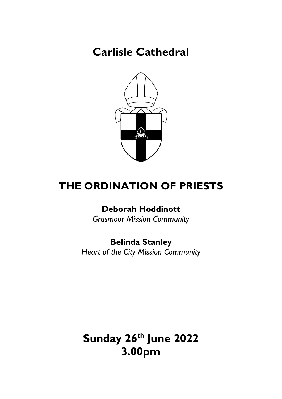# **Carlisle Cathedral**



# **THE ORDINATION OF PRIESTS**

# **Deborah Hoddinott**

*Grasmoor Mission Community*

# **Belinda Stanley**

*Heart of the City Mission Community*

# **Sunday 26th June 2022 3.00pm**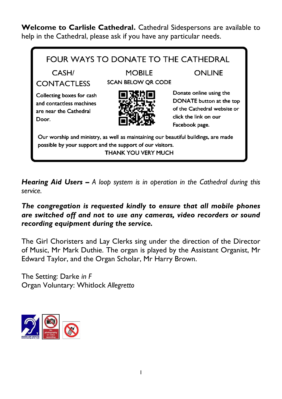**Welcome to Carlisle Cathedral.** Cathedral Sidespersons are available to help in the Cathedral, please ask if you have any particular needs.



*Hearing Aid Users – A loop system is in operation in the Cathedral during this service.*

#### *The congregation is requested kindly to ensure that all mobile phones are switched off and not to use any cameras, video recorders or sound recording equipment during the service.*

The Girl Choristers and Lay Clerks sing under the direction of the Director of Music, Mr Mark Duthie. The organ is played by the Assistant Organist, Mr Edward Taylor, and the Organ Scholar, Mr Harry Brown.

The Setting: Darke *in F* Organ Voluntary: Whitlock *Allegretto*

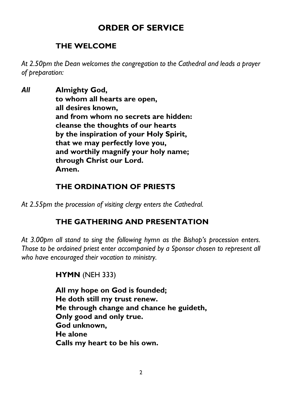# **ORDER OF SERVICE**

# **THE WELCOME**

*At 2.50pm the Dean welcomes the congregation to the Cathedral and leads a prayer of preparation:*

*All* **Almighty God, to whom all hearts are open, all desires known, and from whom no secrets are hidden: cleanse the thoughts of our hearts by the inspiration of your Holy Spirit, that we may perfectly love you, and worthily magnify your holy name; through Christ our Lord. Amen.**

# **THE ORDINATION OF PRIESTS**

*At 2.55pm the procession of visiting clergy enters the Cathedral.*

# **THE GATHERING AND PRESENTATION**

*At 3.00pm all stand to sing the following hymn as the Bishop's procession enters. Those to be ordained priest enter accompanied by a Sponsor chosen to represent all who have encouraged their vocation to ministry.*

**HYMN** (NEH 333)

**All my hope on God is founded; He doth still my trust renew. Me through change and chance he guideth, Only good and only true. God unknown, He alone Calls my heart to be his own.**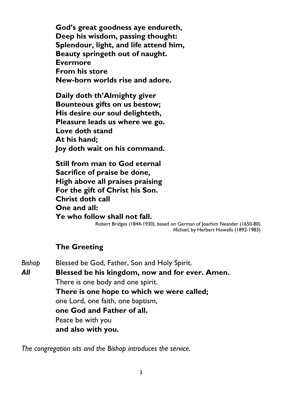**God's great goodness aye endureth, Deep his wisdom, passing thought: Splendour, light, and life attend him, Beauty springeth out of naught. Evermore From his store New-born worlds rise and adore.**

**Daily doth th'Almighty giver Bounteous gifts on us bestow; His desire our soul delighteth, Pleasure leads us where we go. Love doth stand At his hand; Joy doth wait on his command.**

**Still from man to God eternal Sacrifice of praise be done, High above all praises praising For the gift of Christ his Son. Christ doth call One and all: Ye who follow shall not fall.**

Robert Bridges (1844-1930), based on German of Joachim Neander (1650-80) *Michael*, by Herbert Howells (1892-1983)

#### **The Greeting**

*Bishop* Blessed be God, Father, Son and Holy Spirit. *All* **Blessed be his kingdom, now and for ever. Amen.** There is one body and one spirit. **There is one hope to which we were called;** one Lord, one faith, one baptism, **one God and Father of all.** Peace be with you **and also with you.**

*The congregation sits and the Bishop introduces the service.*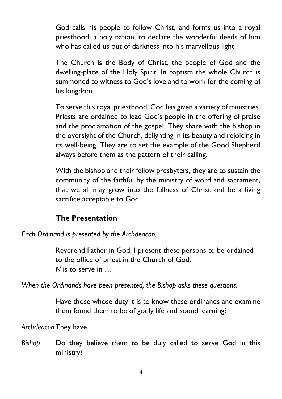God calls his people to follow Christ, and forms us into a royal priesthood, a holy nation, to declare the wonderful deeds of him who has called us out of darkness into his marvellous light.

The Church is the Body of Christ, the people of God and the dwelling-place of the Holy Spirit. In baptism the whole Church is summoned to witness to God's love and to work for the coming of his kingdom.

To serve this royal priesthood, God has given a variety of ministries. Priests are ordained to lead God's people in the offering of praise and the proclamation of the gospel. They share with the bishop in the oversight of the Church, delighting in its beauty and rejoicing in its well-being. They are to set the example of the Good Shepherd always before them as the pattern of their calling.

With the bishop and their fellow presbyters, they are to sustain the community of the faithful by the ministry of word and sacrament, that we all may grow into the fullness of Christ and be a living sacrifice acceptable to God.

### **The Presentation**

*Each Ordinand is presented by the Archdeacon.*

Reverend Father in God, I present these persons to be ordained to the office of priest in the Church of God. *N* is to serve in …

*When the Ordinands have been presented, the Bishop asks these questions:*

Have those whose duty it is to know these ordinands and examine them found them to be of godly life and sound learning?

*Archdeacon*They have.

*Bishop* Do they believe them to be duly called to serve God in this ministry?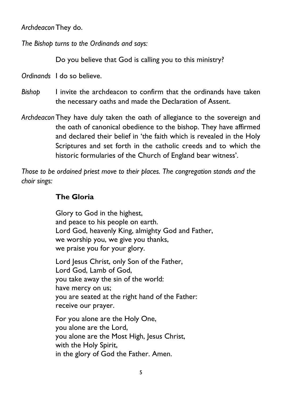*Archdeacon*They do.

*The Bishop turns to the Ordinands and says:*

Do you believe that God is calling you to this ministry?

*Ordinands* I do so believe.

- *Bishop* I invite the archdeacon to confirm that the ordinands have taken the necessary oaths and made the Declaration of Assent.
- *Archdeacon*They have duly taken the oath of allegiance to the sovereign and the oath of canonical obedience to the bishop. They have affirmed and declared their belief in 'the faith which is revealed in the Holy Scriptures and set forth in the catholic creeds and to which the historic formularies of the Church of England bear witness'.

*Those to be ordained priest move to their places. The congregation stands and the choir sings:*

## **The Gloria**

Glory to God in the highest, and peace to his people on earth. Lord God, heavenly King, almighty God and Father, we worship you, we give you thanks, we praise you for your glory.

Lord Jesus Christ, only Son of the Father, Lord God, Lamb of God, you take away the sin of the world: have mercy on us; you are seated at the right hand of the Father: receive our prayer.

For you alone are the Holy One, you alone are the Lord, you alone are the Most High, Jesus Christ, with the Holy Spirit, in the glory of God the Father. Amen.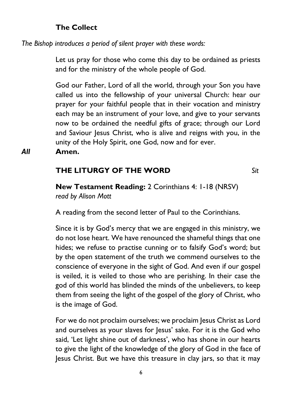# **The Collect**

*The Bishop introduces a period of silent prayer with these words:*

Let us pray for those who come this day to be ordained as priests and for the ministry of the whole people of God.

God our Father, Lord of all the world, through your Son you have called us into the fellowship of your universal Church: hear our prayer for your faithful people that in their vocation and ministry each may be an instrument of your love, and give to your servants now to be ordained the needful gifts of grace; through our Lord and Saviour Jesus Christ, who is alive and reigns with you, in the unity of the Holy Spirit, one God, now and for ever.

*All* **Amen.**

## **THE LITURGY OF THE WORD** *Sit*

**New Testament Reading:** 2 Corinthians 4: 1-18 (NRSV) *read by Alison Mott*

A reading from the second letter of Paul to the Corinthians.

Since it is by God's mercy that we are engaged in this ministry, we do not lose heart. We have renounced the shameful things that one hides; we refuse to practise cunning or to falsify God's word; but by the open statement of the truth we commend ourselves to the conscience of everyone in the sight of God. And even if our gospel is veiled, it is veiled to those who are perishing. In their case the god of this world has blinded the minds of the unbelievers, to keep them from seeing the light of the gospel of the glory of Christ, who is the image of God.

For we do not proclaim ourselves; we proclaim Jesus Christ as Lord and ourselves as your slaves for Jesus' sake. For it is the God who said, 'Let light shine out of darkness', who has shone in our hearts to give the light of the knowledge of the glory of God in the face of Jesus Christ. But we have this treasure in clay jars, so that it may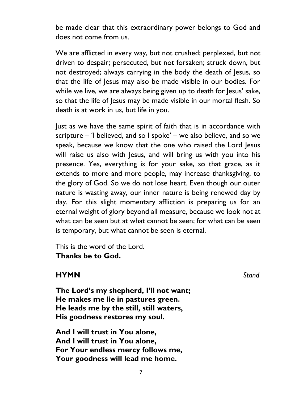be made clear that this extraordinary power belongs to God and does not come from us.

We are afflicted in every way, but not crushed; perplexed, but not driven to despair; persecuted, but not forsaken; struck down, but not destroyed; always carrying in the body the death of Jesus, so that the life of Jesus may also be made visible in our bodies. For while we live, we are always being given up to death for Jesus' sake, so that the life of Jesus may be made visible in our mortal flesh. So death is at work in us, but life in you.

Just as we have the same spirit of faith that is in accordance with scripture – 'I believed, and so I spoke' – we also believe, and so we speak, because we know that the one who raised the Lord Jesus will raise us also with Jesus, and will bring us with you into his presence. Yes, everything is for your sake, so that grace, as it extends to more and more people, may increase thanksgiving, to the glory of God. So we do not lose heart. Even though our outer nature is wasting away, our inner nature is being renewed day by day. For this slight momentary affliction is preparing us for an eternal weight of glory beyond all measure, because we look not at what can be seen but at what cannot be seen; for what can be seen is temporary, but what cannot be seen is eternal.

This is the word of the Lord. **Thanks be to God.**

#### **HYMN** *Stand*

**The Lord's my shepherd, I'll not want; He makes me lie in pastures green. He leads me by the still, still waters, His goodness restores my soul.**

**And I will trust in You alone, And I will trust in You alone, For Your endless mercy follows me, Your goodness will lead me home.**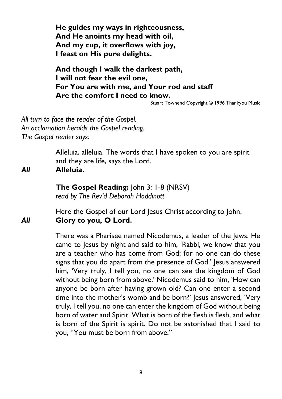**He guides my ways in righteousness, And He anoints my head with oil, And my cup, it overflows with joy, I feast on His pure delights.**

**And though I walk the darkest path, I will not fear the evil one, For You are with me, and Your rod and staff Are the comfort I need to know.**

Stuart Townend Copyright © 1996 Thankyou Music

*All turn to face the reader of the Gospel. An acclamation heralds the Gospel reading. The Gospel reader says:*

> Alleluia, alleluia. The words that I have spoken to you are spirit and they are life, says the Lord.

*All* **Alleluia.**

**The Gospel Reading:** John 3: 1-8 (NRSV) *read by The Rev'd Deborah Hoddinott*

Here the Gospel of our Lord Jesus Christ according to John. *All* **Glory to you, O Lord.**

> There was a Pharisee named Nicodemus, a leader of the Jews. He came to Jesus by night and said to him, 'Rabbi, we know that you are a teacher who has come from God; for no one can do these signs that you do apart from the presence of God.' Jesus answered him, 'Very truly, I tell you, no one can see the kingdom of God without being born from above.' Nicodemus said to him, 'How can anyone be born after having grown old? Can one enter a second time into the mother's womb and be born?' Jesus answered, 'Very truly, I tell you, no one can enter the kingdom of God without being born of water and Spirit. What is born of the flesh is flesh, and what is born of the Spirit is spirit. Do not be astonished that I said to you, "You must be born from above."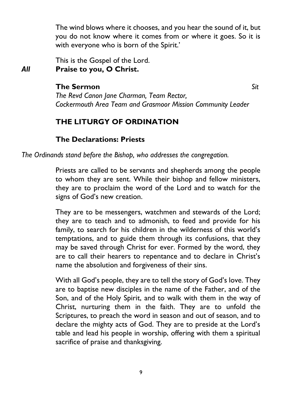The wind blows where it chooses, and you hear the sound of it, but you do not know where it comes from or where it goes. So it is with everyone who is born of the Spirit.'

This is the Gospel of the Lord. *All* **Praise to you, O Christ.**

#### **The Sermon** *Sit*

*The Revd Canon Jane Charman, Team Rector, Cockermouth Area Team and Grasmoor Mission Community Leader*

## **THE LITURGY OF ORDINATION**

#### **The Declarations: Priests**

*The Ordinands stand before the Bishop, who addresses the congregation.*

Priests are called to be servants and shepherds among the people to whom they are sent. While their bishop and fellow ministers, they are to proclaim the word of the Lord and to watch for the signs of God's new creation.

They are to be messengers, watchmen and stewards of the Lord; they are to teach and to admonish, to feed and provide for his family, to search for his children in the wilderness of this world's temptations, and to guide them through its confusions, that they may be saved through Christ for ever. Formed by the word, they are to call their hearers to repentance and to declare in Christ's name the absolution and forgiveness of their sins.

With all God's people, they are to tell the story of God's love. They are to baptise new disciples in the name of the Father, and of the Son, and of the Holy Spirit, and to walk with them in the way of Christ, nurturing them in the faith. They are to unfold the Scriptures, to preach the word in season and out of season, and to declare the mighty acts of God. They are to preside at the Lord's table and lead his people in worship, offering with them a spiritual sacrifice of praise and thanksgiving.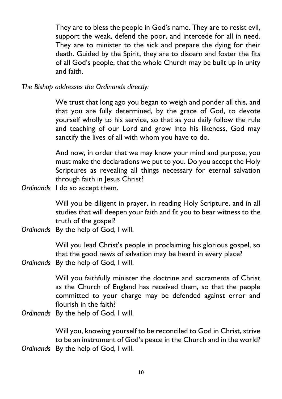They are to bless the people in God's name. They are to resist evil, support the weak, defend the poor, and intercede for all in need. They are to minister to the sick and prepare the dying for their death. Guided by the Spirit, they are to discern and foster the fits of all God's people, that the whole Church may be built up in unity and faith.

*The Bishop addresses the Ordinands directly:*

We trust that long ago you began to weigh and ponder all this, and that you are fully determined, by the grace of God, to devote yourself wholly to his service, so that as you daily follow the rule and teaching of our Lord and grow into his likeness, God may sanctify the lives of all with whom you have to do.

And now, in order that we may know your mind and purpose, you must make the declarations we put to you. Do you accept the Holy Scriptures as revealing all things necessary for eternal salvation through faith in Jesus Christ?

*Ordinands* I do so accept them.

Will you be diligent in prayer, in reading Holy Scripture, and in all studies that will deepen your faith and fit you to bear witness to the truth of the gospel?

*Ordinands* By the help of God, I will.

Will you lead Christ's people in proclaiming his glorious gospel, so that the good news of salvation may be heard in every place?

*Ordinands* By the help of God, I will.

Will you faithfully minister the doctrine and sacraments of Christ as the Church of England has received them, so that the people committed to your charge may be defended against error and flourish in the faith?

*Ordinands* By the help of God, I will.

Will you, knowing yourself to be reconciled to God in Christ, strive to be an instrument of God's peace in the Church and in the world? *Ordinands* By the help of God, I will.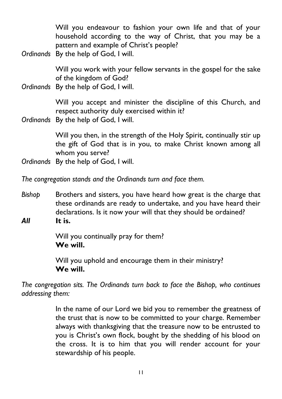Will you endeavour to fashion your own life and that of your household according to the way of Christ, that you may be a pattern and example of Christ's people?

*Ordinands* By the help of God, I will.

Will you work with your fellow servants in the gospel for the sake of the kingdom of God?

*Ordinands* By the help of God, I will.

Will you accept and minister the discipline of this Church, and respect authority duly exercised within it?

*Ordinands* By the help of God, I will.

Will you then, in the strength of the Holy Spirit, continually stir up the gift of God that is in you, to make Christ known among all whom you serve?

*Ordinands* By the help of God, I will.

*The congregation stands and the Ordinands turn and face them.*

*Bishop* Brothers and sisters, you have heard how great is the charge that these ordinands are ready to undertake, and you have heard their declarations. Is it now your will that they should be ordained? *All* **It is.**

> Will you continually pray for them? **We will.**

Will you uphold and encourage them in their ministry? **We will.**

*The congregation sits. The Ordinands turn back to face the Bishop, who continues addressing them:*

> In the name of our Lord we bid you to remember the greatness of the trust that is now to be committed to your charge. Remember always with thanksgiving that the treasure now to be entrusted to you is Christ's own flock, bought by the shedding of his blood on the cross. It is to him that you will render account for your stewardship of his people.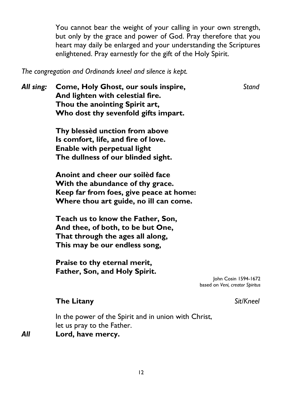You cannot bear the weight of your calling in your own strength, but only by the grace and power of God. Pray therefore that you heart may daily be enlarged and your understanding the Scriptures enlightened. Pray earnestly for the gift of the Holy Spirit.

*The congregation and Ordinands kneel and silence is kept.*

*All sing:* **Come, Holy Ghost, our souls inspire,** *Stand* **And lighten with celestial fire. Thou the anointing Spirit art, Who dost thy sevenfold gifts impart.** 

> **Thy blessèd unction from above Is comfort, life, and fire of love. Enable with perpetual light The dullness of our blinded sight.**

**Anoint and cheer our soilèd face With the abundance of thy grace. Keep far from foes, give peace at home: Where thou art guide, no ill can come.** 

**Teach us to know the Father, Son, And thee, of both, to be but One, That through the ages all along, This may be our endless song,** 

**Praise to thy eternal merit, Father, Son, and Holy Spirit.** 

John Cosin 1594-1672 based on *Veni, creator Spiritus*

# **The Litany** *Sit/Kneel*

In the power of the Spirit and in union with Christ, let us pray to the Father. *All* **Lord, have mercy.**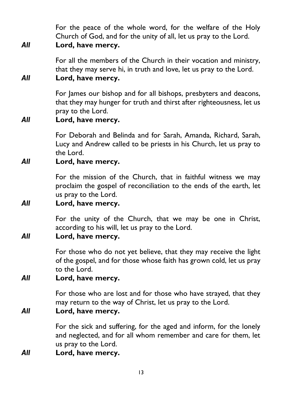For the peace of the whole word, for the welfare of the Holy Church of God, and for the unity of all, let us pray to the Lord. *All* **Lord, have mercy.**

> For all the members of the Church in their vocation and ministry, that they may serve hi, in truth and love, let us pray to the Lord.

*All* **Lord, have mercy.**

For James our bishop and for all bishops, presbyters and deacons, that they may hunger for truth and thirst after righteousness, let us pray to the Lord.

*All* **Lord, have mercy.**

For Deborah and Belinda and for Sarah, Amanda, Richard, Sarah, Lucy and Andrew called to be priests in his Church, let us pray to the Lord.

#### *All* **Lord, have mercy.**

For the mission of the Church, that in faithful witness we may proclaim the gospel of reconciliation to the ends of the earth, let us pray to the Lord.

*All* **Lord, have mercy.**

For the unity of the Church, that we may be one in Christ, according to his will, let us pray to the Lord.

*All* **Lord, have mercy.**

For those who do not yet believe, that they may receive the light of the gospel, and for those whose faith has grown cold, let us pray to the Lord.

*All* **Lord, have mercy.**

For those who are lost and for those who have strayed, that they may return to the way of Christ, let us pray to the Lord.

*All* **Lord, have mercy.**

For the sick and suffering, for the aged and inform, for the lonely and neglected, and for all whom remember and care for them, let us pray to the Lord.

*All* **Lord, have mercy.**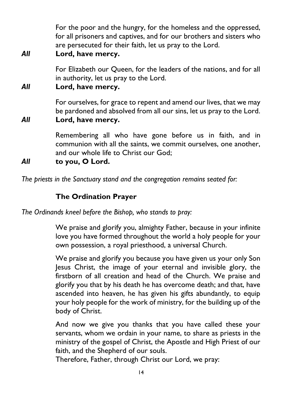For the poor and the hungry, for the homeless and the oppressed, for all prisoners and captives, and for our brothers and sisters who are persecuted for their faith, let us pray to the Lord.

*All* **Lord, have mercy.**

For Elizabeth our Queen, for the leaders of the nations, and for all in authority, let us pray to the Lord.

*All* **Lord, have mercy.**

For ourselves, for grace to repent and amend our lives, that we may be pardoned and absolved from all our sins, let us pray to the Lord.

*All* **Lord, have mercy.**

Remembering all who have gone before us in faith, and in communion with all the saints, we commit ourselves, one another, and our whole life to Christ our God;

*All* **to you, O Lord.**

*The priests in the Sanctuary stand and the congregation remains seated for:*

#### **The Ordination Prayer**

*The Ordinands kneel before the Bishop, who stands to pray:*

We praise and glorify you, almighty Father, because in your infinite love you have formed throughout the world a holy people for your own possession, a royal priesthood, a universal Church.

We praise and glorify you because you have given us your only Son Jesus Christ, the image of your eternal and invisible glory, the firstborn of all creation and head of the Church. We praise and glorify you that by his death he has overcome death; and that, have ascended into heaven, he has given his gifts abundantly, to equip your holy people for the work of ministry, for the building up of the body of Christ.

And now we give you thanks that you have called these your servants, whom we ordain in your name, to share as priests in the ministry of the gospel of Christ, the Apostle and High Priest of our faith, and the Shepherd of our souls.

Therefore, Father, through Christ our Lord, we pray: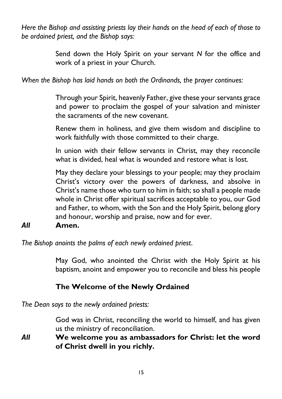*Here the Bishop and assisting priests lay their hands on the head of each of those to be ordained priest, and the Bishop says:*

> Send down the Holy Spirit on your servant *N* for the office and work of a priest in your Church.

*When the Bishop has laid hands on both the Ordinands, the prayer continues:*

Through your Spirit, heavenly Father, give these your servants grace and power to proclaim the gospel of your salvation and minister the sacraments of the new covenant.

Renew them in holiness, and give them wisdom and discipline to work faithfully with those committed to their charge.

In union with their fellow servants in Christ, may they reconcile what is divided, heal what is wounded and restore what is lost.

May they declare your blessings to your people; may they proclaim Christ's victory over the powers of darkness, and absolve in Christ's name those who turn to him in faith; so shall a people made whole in Christ offer spiritual sacrifices acceptable to you, our God and Father, to whom, with the Son and the Holy Spirit, belong glory and honour, worship and praise, now and for ever.

*All* **Amen.**

*The Bishop anoints the palms of each newly ordained priest*.

May God, who anointed the Christ with the Holy Spirit at his baptism, anoint and empower you to reconcile and bless his people

# **The Welcome of the Newly Ordained**

*The Dean says to the newly ordained priests:*

God was in Christ, reconciling the world to himself, and has given us the ministry of reconciliation.

*All* **We welcome you as ambassadors for Christ: let the word of Christ dwell in you richly.**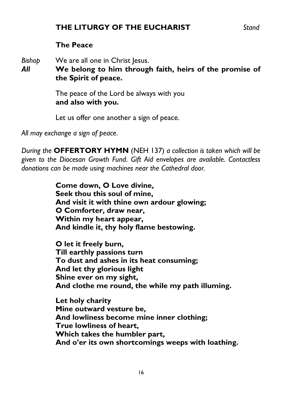### **The Peace**

*Bishop* We are all one in Christ Jesus.

*All* **We belong to him through faith, heirs of the promise of the Spirit of peace.**

> The peace of the Lord be always with you **and also with you.**

Let us offer one another a sign of peace.

*All may exchange a sign of peace*.

*During the* **OFFERTORY HYMN** (NEH 137) *a collection is taken which will be given to the Diocesan Growth Fund*. *Gift Aid envelopes are available. Contactless donations can be made using machines near the Cathedral door.*

> **Come down, O Love divine, Seek thou this soul of mine, And visit it with thine own ardour glowing; O Comforter, draw near, Within my heart appear, And kindle it, thy holy flame bestowing.**

**O let it freely burn, Till earthly passions turn To dust and ashes in its heat consuming; And let thy glorious light Shine ever on my sight, And clothe me round, the while my path illuming.**

**Let holy charity Mine outward vesture be, And lowliness become mine inner clothing; True lowliness of heart, Which takes the humbler part, And o'er its own shortcomings weeps with loathing.**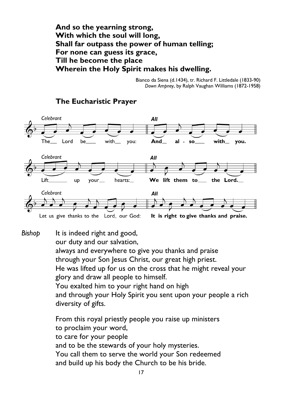#### **And so the yearning strong, With which the soul will long, Shall far outpass the power of human telling; For none can guess its grace, Till he become the place Wherein the Holy Spirit makes his dwelling.**

Bianco da Siena (d.1434), tr. Richard F. Littledale (1833-90) *Down Ampney*, by Ralph Vaughan Williams (1872-1958)



#### **The Eucharistic Prayer**

*Bishop* It is indeed right and good, our duty and our salvation, always and everywhere to give you thanks and praise through your Son Jesus Christ, our great high priest. He was lifted up for us on the cross that he might reveal your glory and draw all people to himself. You exalted him to your right hand on high and through your Holy Spirit you sent upon your people a rich diversity of gifts. From this royal priestly people you raise up ministers to proclaim your word, to care for your people and to be the stewards of your holy mysteries. You call them to serve the world your Son redeemed and build up his body the Church to be his bride.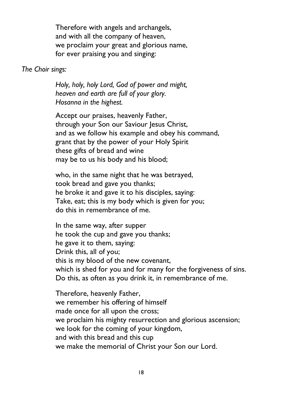Therefore with angels and archangels, and with all the company of heaven, we proclaim your great and glorious name, for ever praising you and singing:

#### *The Choir sings:*

*Holy, holy, holy Lord, God of power and might, heaven and earth are full of your glory. Hosanna in the highest.*

Accept our praises, heavenly Father, through your Son our Saviour Jesus Christ, and as we follow his example and obey his command, grant that by the power of your Holy Spirit these gifts of bread and wine may be to us his body and his blood;

who, in the same night that he was betrayed, took bread and gave you thanks; he broke it and gave it to his disciples, saying: Take, eat; this is my body which is given for you; do this in remembrance of me.

In the same way, after supper he took the cup and gave you thanks; he gave it to them, saying: Drink this, all of you; this is my blood of the new covenant, which is shed for you and for many for the forgiveness of sins. Do this, as often as you drink it, in remembrance of me.

Therefore, heavenly Father, we remember his offering of himself made once for all upon the cross; we proclaim his mighty resurrection and glorious ascension; we look for the coming of your kingdom, and with this bread and this cup we make the memorial of Christ your Son our Lord.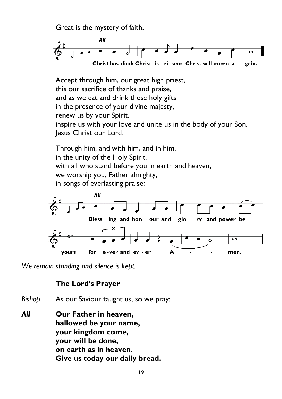Great is the mystery of faith.



Accept through him, our great high priest, this our sacrifice of thanks and praise, and as we eat and drink these holy gifts in the presence of your divine majesty, renew us by your Spirit, inspire us with your love and unite us in the body of your Son, Jesus Christ our Lord.

Through him, and with him, and in him, in the unity of the Holy Spirit, with all who stand before you in earth and heaven, we worship you, Father almighty, in songs of everlasting praise:



*We remain standing and* s*ilence is kept.*

#### **The Lord's Prayer**

*Bishop* As our Saviour taught us, so we pray:

*All* **Our Father in heaven, hallowed be your name, your kingdom come, your will be done, on earth as in heaven. Give us today our daily bread.**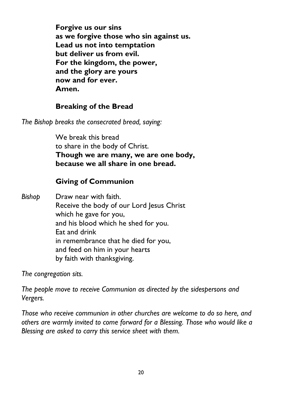**Forgive us our sins as we forgive those who sin against us. Lead us not into temptation but deliver us from evil. For the kingdom, the power, and the glory are yours now and for ever. Amen.**

#### **Breaking of the Bread**

*The Bishop breaks the consecrated bread, saying:*

We break this bread to share in the body of Christ. **Though we are many, we are one body, because we all share in one bread.**

### **Giving of Communion**

**Bishop** Draw near with faith. Receive the body of our Lord Jesus Christ which he gave for you, and his blood which he shed for you. Eat and drink in remembrance that he died for you, and feed on him in your hearts by faith with thanksgiving.

*The congregation sits.* 

*The people move to receive Communion as directed by the sidespersons and Vergers.* 

*Those who receive communion in other churches are welcome to do so here, and others are warmly invited to come forward for a Blessing. Those who would like a Blessing are asked to carry this service sheet with them.*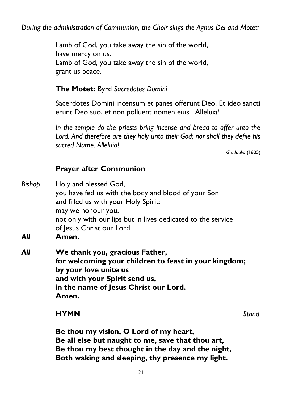*During the administration of Communion, the Choir sings the Agnus Dei and Motet:*

Lamb of God, you take away the sin of the world, have mercy on us. Lamb of God, you take away the sin of the world, grant us peace.

#### **The Motet:** Byrd *Sacredotes Domini*

Sacerdotes Domini incensum et panes offerunt Deo. Et ideo sancti erunt Deo suo, et non polluent nomen eius. Alleluia!

*In the temple do the priests bring incense and bread to offer unto the Lord. And therefore are they holy unto their God; nor shall they defile his sacred Name. Alleluia!*

*Gradualia* (1605)

#### **Prayer after Communion**

*Bishop* Holy and blessed God, you have fed us with the body and blood of your Son and filled us with your Holy Spirit: may we honour you, not only with our lips but in lives dedicated to the service of Iesus Christ our Lord. *All* **Amen.** *All* **We thank you, gracious Father, for welcoming your children to feast in your kingdom; by your love unite us and with your Spirit send us, in the name of Jesus Christ our Lord. Amen.**

#### **HYMN** *Stand*

**Be thou my vision, O Lord of my heart, Be all else but naught to me, save that thou art, Be thou my best thought in the day and the night, Both waking and sleeping, thy presence my light.**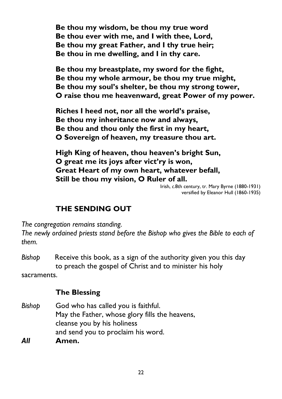**Be thou my wisdom, be thou my true word Be thou ever with me, and I with thee, Lord, Be thou my great Father, and I thy true heir; Be thou in me dwelling, and I in thy care.**

**Be thou my breastplate, my sword for the fight, Be thou my whole armour, be thou my true might, Be thou my soul's shelter, be thou my strong tower, O raise thou me heavenward, great Power of my power.**

**Riches I heed not, nor all the world's praise, Be thou my inheritance now and always, Be thou and thou only the first in my heart, O Sovereign of heaven, my treasure thou art.**

**High King of heaven, thou heaven's bright Sun, O great me its joys after vict'ry is won, Great Heart of my own heart, whatever befall, Still be thou my vision, O Ruler of all.**

Irish, *c*.8th century, tr. Mary Byrne (1880-1931) versified by Eleanor Hull (1860-1935)

### **THE SENDING OUT**

*The congregation remains standing.* 

*The newly ordained priests stand before the Bishop who gives the Bible to each of them.*

*Bishop* Receive this book, as a sign of the authority given you this day to preach the gospel of Christ and to minister his holy

sacraments.

#### **The Blessing**

*Bishop* God who has called you is faithful. May the Father, whose glory fills the heavens, cleanse you by his holiness and send you to proclaim his word. *All* **Amen.**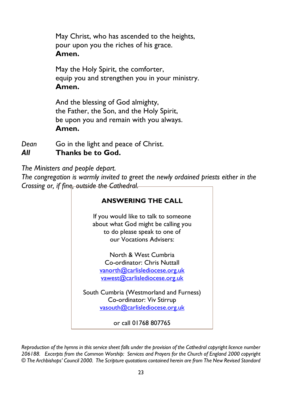May Christ, who has ascended to the heights, pour upon you the riches of his grace. **Amen.**

May the Holy Spirit, the comforter, equip you and strengthen you in your ministry. **Amen.**

And the blessing of God almighty, the Father, the Son, and the Holy Spirit, be upon you and remain with you always. **Amen.**

*Dean* Go in the light and peace of Christ. *All* **Thanks be to God.**

*The Ministers and people depart.*

*The congregation is warmly invited to greet the newly ordained priests either in the Crossing or, if fine, outside the Cathedral.*

# **ANSWERING THE CALL** If you would like to talk to someone about what God might be calling you to do please speak to one of our Vocations Advisers: North & West Cumbria Co-ordinator: Chris Nuttall [vanorth@carlislediocese.org.uk](mailto:vanorth@carlislediocese.org.uk) [vawest@carlislediocese.org.uk](mailto:vawest@carlislediocese.org.uk) South Cumbria (Westmorland and Furness) Co-ordinator: Viv Stirrup [vasouth@carlislediocese.org.uk](mailto:vasouth@carlislediocese.org.uk)

or call 01768 807765

*Reproduction of the hymns in this service sheet falls under the provision of the Cathedral copyright licence number 206188. Excerpts from the Common Worship: Services and Prayers for the Church of England 2000 copyright © The Archbishops' Council 2000. The Scripture quotations contained herein are from The New Revised Standard*